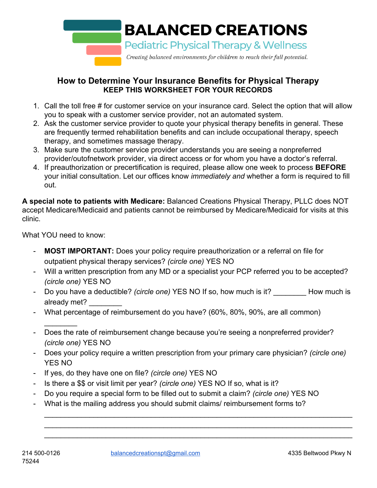

## **How to Determine Your Insurance Benefits for Physical Therapy KEEP THIS WORKSHEET FOR YOUR RECORDS**

- 1. Call the toll free # for customer service on your insurance card. Select the option that will allow you to speak with a customer service provider, not an automated system.
- 2. Ask the customer service provider to quote your physical therapy benefits in general. These are frequently termed rehabilitation benefits and can include occupational therapy, speech therapy, and sometimes massage therapy.
- 3. Make sure the customer service provider understands you are seeing a nonpreferred provider/outofnetwork provider, via direct access or for whom you have a doctor's referral.
- 4. If preauthorization or precertification is required, please allow one week to process **BEFORE** your initial consultation. Let our offices know *immediately and* whether a form is required to fill out.

**A special note to patients with Medicare:** Balanced Creations Physical Therapy, PLLC does NOT accept Medicare/Medicaid and patients cannot be reimbursed by Medicare/Medicaid for visits at this clinic.

What YOU need to know:

 $\frac{1}{2}$ 

- **MOST IMPORTANT:** Does your policy require preauthorization or a referral on file for outpatient physical therapy services? *(circle one)* YES NO
- Will a written prescription from any MD or a specialist your PCP referred you to be accepted? *(circle one)* YES NO
- Do you have a deductible? *(circle one)* YES NO If so, how much is it? How much is already met?
- What percentage of reimbursement do you have? (60%, 80%, 90%, are all common)
- Does the rate of reimbursement change because you're seeing a nonpreferred provider? *(circle one)* YES NO
- Does your policy require a written prescription from your primary care physician? *(circle one)* YES NO

\_\_\_\_\_\_\_\_\_\_\_\_\_\_\_\_\_\_\_\_\_\_\_\_\_\_\_\_\_\_\_\_\_\_\_\_\_\_\_\_\_\_\_\_\_\_\_\_\_\_\_\_\_\_\_\_\_\_\_\_\_\_\_\_\_\_\_\_\_\_\_\_\_\_\_ \_\_\_\_\_\_\_\_\_\_\_\_\_\_\_\_\_\_\_\_\_\_\_\_\_\_\_\_\_\_\_\_\_\_\_\_\_\_\_\_\_\_\_\_\_\_\_\_\_\_\_\_\_\_\_\_\_\_\_\_\_\_\_\_\_\_\_\_\_\_\_\_\_\_\_ \_\_\_\_\_\_\_\_\_\_\_\_\_\_\_\_\_\_\_\_\_\_\_\_\_\_\_\_\_\_\_\_\_\_\_\_\_\_\_\_\_\_\_\_\_\_\_\_\_\_\_\_\_\_\_\_\_\_\_\_\_\_\_\_\_\_\_\_\_\_\_\_\_\_\_

- If yes, do they have one on file? *(circle one)* YES NO
- Is there a \$\$ or visit limit per year? *(circle one)* YES NO If so, what is it?
- Do you require a special form to be filled out to submit a claim? *(circle one)* YES NO
- What is the mailing address you should submit claims/ reimbursement forms to?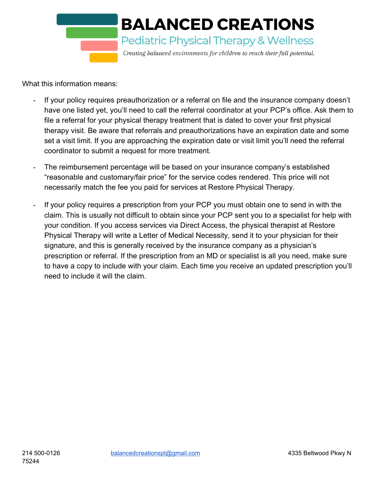

What this information means:

- If your policy requires preauthorization or a referral on file and the insurance company doesn't have one listed yet, you'll need to call the referral coordinator at your PCP's office. Ask them to file a referral for your physical therapy treatment that is dated to cover your first physical therapy visit. Be aware that referrals and preauthorizations have an expiration date and some set a visit limit. If you are approaching the expiration date or visit limit you'll need the referral coordinator to submit a request for more treatment.
- The reimbursement percentage will be based on your insurance company's established "reasonable and customary/fair price" for the service codes rendered. This price will not necessarily match the fee you paid for services at Restore Physical Therapy.
- If your policy requires a prescription from your PCP you must obtain one to send in with the claim. This is usually not difficult to obtain since your PCP sent you to a specialist for help with your condition. If you access services via Direct Access, the physical therapist at Restore Physical Therapy will write a Letter of Medical Necessity, send it to your physician for their signature, and this is generally received by the insurance company as a physician's prescription or referral. If the prescription from an MD or specialist is all you need, make sure to have a copy to include with your claim. Each time you receive an updated prescription you'll need to include it will the claim.